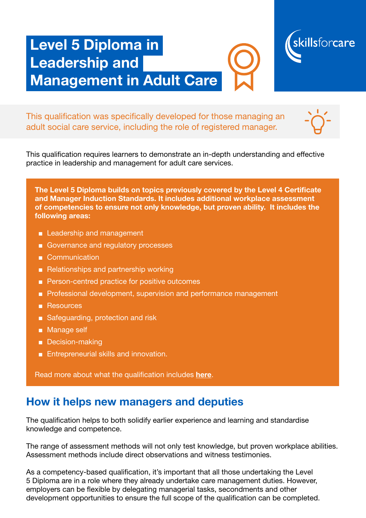# Level 5 Diploma in Leadership and Management in Adult Care



This qualification was specifically developed for those managing an adult social care service, including the role of registered manager.

This qualification requires learners to demonstrate an in-depth understanding and effective practice in leadership and management for adult care services.

The Level 5 Diploma builds on topics previously covered by the Level 4 Certificate and Manager Induction Standards. It includes additional workplace assessment of competencies to ensure not only knowledge, but proven ability. It includes the following areas:

- Leadership and management
- Governance and regulatory processes
- Communication
- Relationships and partnership working
- Person-centred practice for positive outcomes
- Professional development, supervision and performance management
- Resources
- Safeguarding, protection and risk
- Manage self
- Decision-making
- Entrepreneurial skills and innovation.

Read more about what the qualification includes [here](https://www.skillsforcare.org.uk/Documents/Learning-and-development/Qualifications/L5-Diploma-Leadership-and-Management-Adult-Care.pdf).

#### How it helps new managers and deputies

The qualification helps to both solidify earlier experience and learning and standardise knowledge and competence.

The range of assessment methods will not only test knowledge, but proven workplace abilities. Assessment methods include direct observations and witness testimonies.

As a competency-based qualification, it's important that all those undertaking the Level 5 Diploma are in a role where they already undertake care management duties. However, employers can be flexible by delegating managerial tasks, secondments and other development opportunities to ensure the full scope of the qualification can be completed.